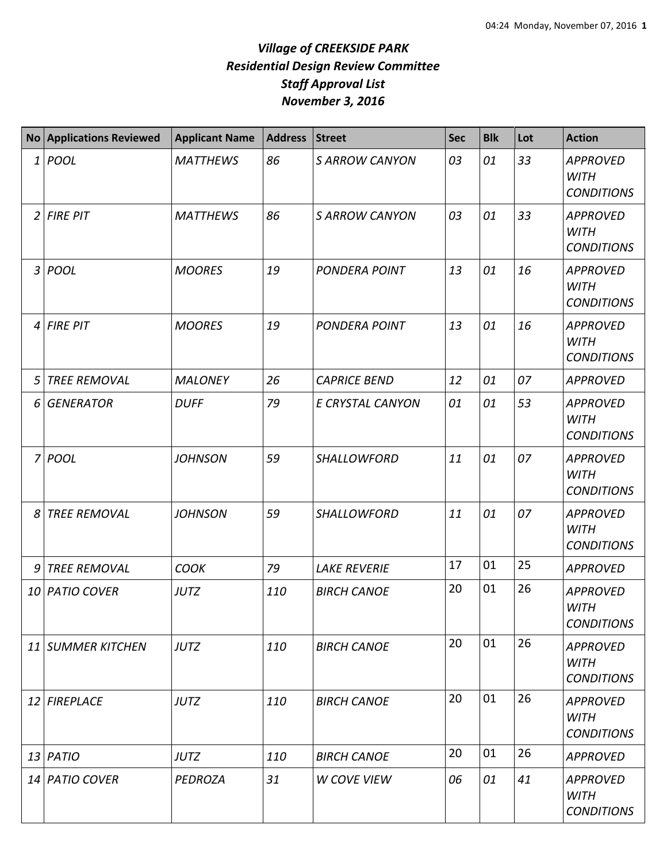## *Village of CREEKSIDE PARK Residential Design Review Committee Staff Approval List November 3, 2016*

|                | <b>No Applications Reviewed</b> | <b>Applicant Name</b> | <b>Address</b> | <b>Street</b>         | <b>Sec</b> | <b>Blk</b> | Lot | <b>Action</b>                                       |
|----------------|---------------------------------|-----------------------|----------------|-----------------------|------------|------------|-----|-----------------------------------------------------|
| $\mathbf{1}$   | POOL                            | <b>MATTHEWS</b>       | 86             | <b>S ARROW CANYON</b> | 03         | 01         | 33  | <b>APPROVED</b><br><b>WITH</b><br><b>CONDITIONS</b> |
| $\overline{2}$ | <b>FIRE PIT</b>                 | <b>MATTHEWS</b>       | 86             | <b>S ARROW CANYON</b> | 03         | 01         | 33  | <b>APPROVED</b><br><b>WITH</b><br><b>CONDITIONS</b> |
| $\mathfrak{Z}$ | POOL                            | <b>MOORES</b>         | 19             | <b>PONDERA POINT</b>  | 13         | 01         | 16  | <b>APPROVED</b><br><b>WITH</b><br><b>CONDITIONS</b> |
| 4              | <b>FIRE PIT</b>                 | <b>MOORES</b>         | 19             | <b>PONDERA POINT</b>  | 13         | 01         | 16  | <b>APPROVED</b><br><b>WITH</b><br><b>CONDITIONS</b> |
| 5              | <b>TREE REMOVAL</b>             | <b>MALONEY</b>        | 26             | <b>CAPRICE BEND</b>   | 12         | 01         | 07  | <b>APPROVED</b>                                     |
| 6              | <b>GENERATOR</b>                | <b>DUFF</b>           | 79             | E CRYSTAL CANYON      | 01         | 01         | 53  | <b>APPROVED</b><br><b>WITH</b><br><b>CONDITIONS</b> |
| 7              | POOL                            | <b>JOHNSON</b>        | 59             | <b>SHALLOWFORD</b>    | 11         | 01         | 07  | <b>APPROVED</b><br><b>WITH</b><br><b>CONDITIONS</b> |
| 8              | <b>TREE REMOVAL</b>             | <b>JOHNSON</b>        | 59             | SHALLOWFORD           | 11         | 01         | 07  | <b>APPROVED</b><br><b>WITH</b><br><b>CONDITIONS</b> |
| 9              | <b>TREE REMOVAL</b>             | <b>COOK</b>           | 79             | <b>LAKE REVERIE</b>   | 17         | 01         | 25  | <b>APPROVED</b>                                     |
|                | 10 PATIO COVER                  | <b>JUTZ</b>           | 110            | <b>BIRCH CANOE</b>    | 20         | 01         | 26  | <b>APPROVED</b><br><b>WITH</b><br><b>CONDITIONS</b> |
|                | 11 SUMMER KITCHEN               | <b>JUTZ</b>           | 110            | <b>BIRCH CANOE</b>    | 20         | 01         | 26  | <b>APPROVED</b><br><b>WITH</b><br><b>CONDITIONS</b> |
|                | 12 FIREPLACE                    | <b>JUTZ</b>           | 110            | <b>BIRCH CANOE</b>    | 20         | 01         | 26  | <b>APPROVED</b><br><b>WITH</b><br><b>CONDITIONS</b> |
|                | $13$ PATIO                      | <b>JUTZ</b>           | 110            | <b>BIRCH CANOE</b>    | 20         | 01         | 26  | <b>APPROVED</b>                                     |
|                | 14 PATIO COVER                  | PEDROZA               | 31             | <b>W COVE VIEW</b>    | 06         | 01         | 41  | <b>APPROVED</b><br><b>WITH</b><br><b>CONDITIONS</b> |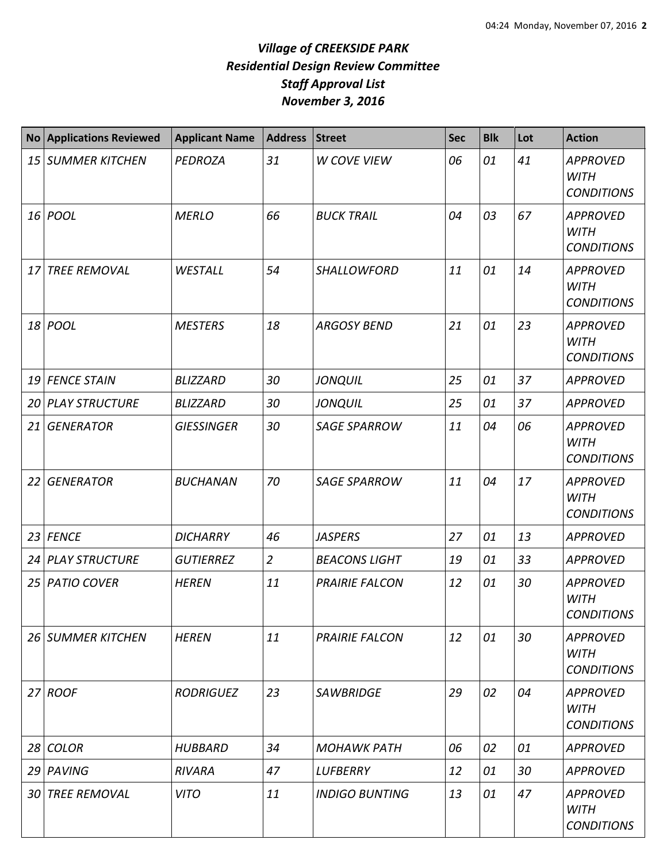## *Village of CREEKSIDE PARK Residential Design Review Committee Staff Approval List November 3, 2016*

| <b>No</b>       | <b>Applications Reviewed</b> | <b>Applicant Name</b> | <b>Address</b> | <b>Street</b>         | <b>Sec</b> | <b>Blk</b> | Lot | <b>Action</b>                                       |
|-----------------|------------------------------|-----------------------|----------------|-----------------------|------------|------------|-----|-----------------------------------------------------|
| 15 <sub>l</sub> | <b>SUMMER KITCHEN</b>        | <b>PEDROZA</b>        | 31             | <b>W COVE VIEW</b>    | 06         | 01         | 41  | <b>APPROVED</b><br><b>WITH</b><br><b>CONDITIONS</b> |
|                 | 16 <i>POOL</i>               | <b>MERLO</b>          | 66             | <b>BUCK TRAIL</b>     | 04         | 03         | 67  | <b>APPROVED</b><br><b>WITH</b><br><b>CONDITIONS</b> |
| 17              | <b>TREE REMOVAL</b>          | WESTALL               | 54             | <b>SHALLOWFORD</b>    | 11         | 01         | 14  | <b>APPROVED</b><br><b>WITH</b><br><b>CONDITIONS</b> |
| 18              | POOL                         | <b>MESTERS</b>        | 18             | <b>ARGOSY BEND</b>    | 21         | 01         | 23  | <b>APPROVED</b><br><b>WITH</b><br><b>CONDITIONS</b> |
| 19              | <b>FENCE STAIN</b>           | <b>BLIZZARD</b>       | 30             | <b>JONQUIL</b>        | 25         | 01         | 37  | <b>APPROVED</b>                                     |
| 20              | <b>PLAY STRUCTURE</b>        | <b>BLIZZARD</b>       | 30             | <b>JONQUIL</b>        | 25         | 01         | 37  | <b>APPROVED</b>                                     |
| 21              | <b>GENERATOR</b>             | <b>GIESSINGER</b>     | 30             | <b>SAGE SPARROW</b>   | 11         | 04         | 06  | <b>APPROVED</b><br><b>WITH</b><br><b>CONDITIONS</b> |
| 22              | <b>GENERATOR</b>             | <b>BUCHANAN</b>       | 70             | <b>SAGE SPARROW</b>   | 11         | 04         | 17  | <b>APPROVED</b><br><b>WITH</b><br><b>CONDITIONS</b> |
| 23              | <b>FENCE</b>                 | <b>DICHARRY</b>       | 46             | <b>JASPERS</b>        | 27         | 01         | 13  | <b>APPROVED</b>                                     |
| 24              | <b>PLAY STRUCTURE</b>        | <b>GUTIERREZ</b>      | $\overline{2}$ | <b>BEACONS LIGHT</b>  | 19         | 01         | 33  | <b>APPROVED</b>                                     |
| 25              | <b>PATIO COVER</b>           | <b>HEREN</b>          | 11             | <b>PRAIRIE FALCON</b> | 12         | 01         | 30  | <b>APPROVED</b><br><b>WITH</b><br><b>CONDITIONS</b> |
|                 | <b>26 SUMMER KITCHEN</b>     | <b>HEREN</b>          | 11             | <b>PRAIRIE FALCON</b> | 12         | 01         | 30  | <b>APPROVED</b><br><b>WITH</b><br><b>CONDITIONS</b> |
|                 | $27$ ROOF                    | <b>RODRIGUEZ</b>      | 23             | <b>SAWBRIDGE</b>      | 29         | 02         | 04  | <b>APPROVED</b><br><b>WITH</b><br><b>CONDITIONS</b> |
| 28              | <b>COLOR</b>                 | <b>HUBBARD</b>        | 34             | <b>MOHAWK PATH</b>    | 06         | 02         | 01  | <b>APPROVED</b>                                     |
| 29              | PAVING                       | <b>RIVARA</b>         | 47             | <b>LUFBERRY</b>       | 12         | 01         | 30  | <b>APPROVED</b>                                     |
| 30              | <b>TREE REMOVAL</b>          | <b>VITO</b>           | 11             | <b>INDIGO BUNTING</b> | 13         | 01         | 47  | <b>APPROVED</b><br><b>WITH</b><br><b>CONDITIONS</b> |